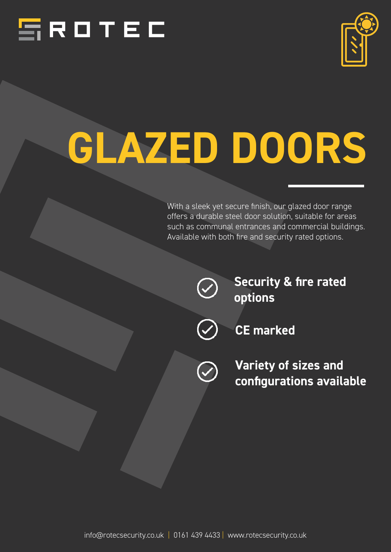



# *GLAZED DOORS*

With a sleek yet secure finish, our glazed door range offers a durable steel door solution, suitable for areas such as communal entrances and commercial buildings. Available with both fire and security rated options.



*Security & fire rated options*



*CE marked* 

*Variety of sizes and configurations available*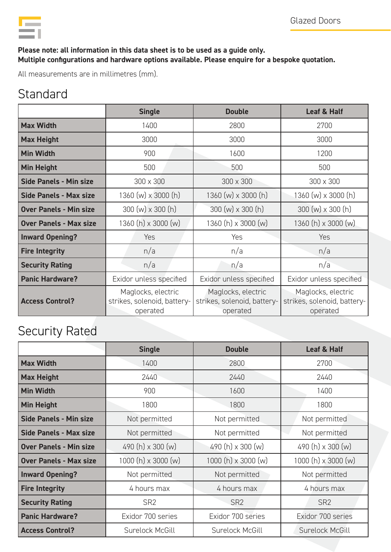

#### *Please note: all information in this data sheet is to be used as a guide only. Multiple configurations and hardware options available. Please enquire for a bespoke quotation.*

All measurements are in millimetres (mm).

### **Standard**

|                               | <b>Single</b>                                                 | <b>Double</b>                                                 | Leaf & Half                                                   |
|-------------------------------|---------------------------------------------------------------|---------------------------------------------------------------|---------------------------------------------------------------|
| <b>Max Width</b>              | 1400                                                          | 2800                                                          | 2700                                                          |
| <b>Max Height</b>             | 3000                                                          | 3000                                                          | 3000                                                          |
| <b>Min Width</b>              | 900                                                           | 1600                                                          | 1200                                                          |
| <b>Min Height</b>             | 500                                                           | 500                                                           | 500                                                           |
| <b>Side Panels - Min size</b> | 300 x 300                                                     | 300 x 300                                                     | $300 \times 300$                                              |
| <b>Side Panels - Max size</b> | 1360 (w) x 3000 (h)                                           | $1360 (w) \times 3000 (h)$                                    | 1360 (w) x 3000 (h)                                           |
| <b>Over Panels - Min size</b> | $300 (w) \times 300 (h)$                                      | $300 (w) \times 300 (h)$                                      | $300 (w) \times 300 (h)$                                      |
| <b>Over Panels - Max size</b> | 1360 (h) x 3000 (w)                                           | 1360 (h) x 3000 (w)                                           | 1360 (h) x 3000 (w)                                           |
| <b>Inward Opening?</b>        | Yes                                                           | Yes                                                           | Yes                                                           |
| <b>Fire Integrity</b>         | n/a                                                           | n/a                                                           | n/a                                                           |
| <b>Security Rating</b>        | n/a                                                           | n/a                                                           | n/a                                                           |
| <b>Panic Hardware?</b>        | Exidor unless specified                                       | Exidor unless specified                                       | Exidor unless specified                                       |
| <b>Access Control?</b>        | Maglocks, electric<br>strikes, solenoid, battery-<br>operated | Maglocks, electric<br>strikes, solenoid, battery-<br>operated | Maglocks, electric<br>strikes, solenoid, battery-<br>operated |

## Security Rated

|                               | <b>Single</b>            | <b>Double</b>       | Leaf & Half              |
|-------------------------------|--------------------------|---------------------|--------------------------|
| <b>Max Width</b>              | 1400                     | 2800                | 2700                     |
| <b>Max Height</b>             | 2440                     | 2440                | 2440                     |
| <b>Min Width</b>              | 900                      | 1600                | 1400                     |
| <b>Min Height</b>             | 1800                     | 1800                | 1800                     |
| <b>Side Panels - Min size</b> | Not permitted            | Not permitted       | Not permitted            |
| <b>Side Panels - Max size</b> | Not permitted            | Not permitted       | Not permitted            |
| <b>Over Panels - Min size</b> | 490 $(h) \times 300 (w)$ | 490 (h) x 300 (w)   | 490 (h) x 300 (w)        |
| <b>Over Panels - Max size</b> | $1000(h) \times 3000(m)$ | 1000 (h) x 3000 (w) | $1000(h) \times 3000(m)$ |
| <b>Inward Opening?</b>        | Not permitted            | Not permitted       | Not permitted            |
| <b>Fire Integrity</b>         | 4 hours max              | 4 hours max         | 4 hours max              |
| <b>Security Rating</b>        | SR <sub>2</sub>          | SR <sub>2</sub>     | SR <sub>2</sub>          |
| <b>Panic Hardware?</b>        | Exidor 700 series        | Exidor 700 series   | Exidor 700 series        |
| <b>Access Control?</b>        | Surelock McGill          | Surelock McGill     | Surelock McGill          |